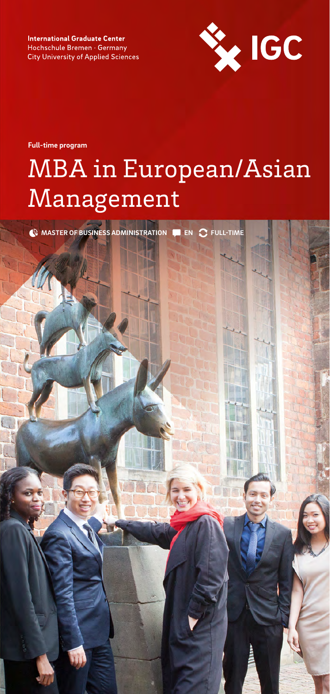**International Graduate Center** Hochschule Bremen · Germany **City University of Applied Sciences** 



**Full-time program**

# MBA in European/Asian Management

**MASTER OF BUSINESS ADMINISTRATION EN FULL-TIME**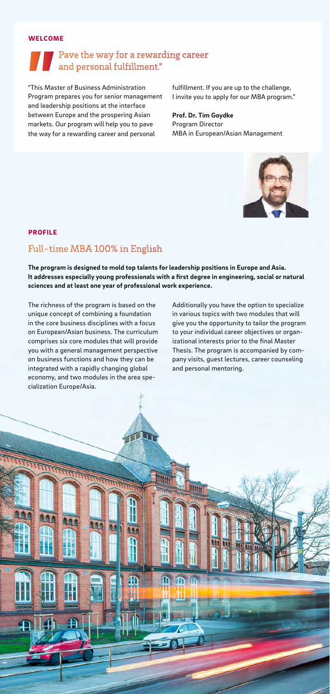#### $WELCOME$  is a study in the Heart of Bremen in the Heart of Bremen in the Heart of Bremen in the Heart of Bremen in the Heart of Bremen in the Heart of Bremen in the Heart of Bremen in the Heart of Bremen in the Heart of Bre

## Pave the way for a rewarding career and personal fulfillment."

"This Master of Business Administration fulfillment. If you are up to the challenge, which is a set of  $\sim$ Program prepares you for senior management and leadership positions at the interface between Europe and the prospering Asian markets. Our program will help you to pave the way for a rewarding career and personal

I invite you to apply for our MBA program."

**Prof. Dr. Tim Goydke** Program Director MBA in European/Asian Management



#### PROFILE

## Full-time MBA 100% in English

**The program is designed to mold top talents for leadership positions in Europe and Asia.**  It addresses especially young professionals with a first degree in engineering, social or natural **sciences and at least one year of professional work experience.** 

The richness of the program is based on the unique concept of combining a foundation in the core business disciplines with a focus on European/Asian business. The curriculum comprises six core modules that will provide you with a general management perspective on business functions and how they can be integrated with a rapidly changing global economy, and two modules in the area specialization Europe/Asia.

Additionally you have the option to specialize in various topics with two modules that will give you the opportunity to tailor the program to your individual career objectives or organizational interests prior to the final Master Thesis. The program is accompanied by company visits, guest lectures, career counseling and personal mentoring.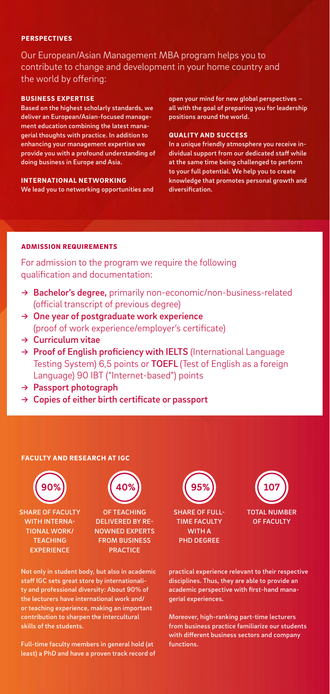#### **PERSPECTIVES**

Our European/Asian Management MBA program helps you to contribute to change and development in your home country and the world by offering:

#### BUSINESS EXPERTISE

Based on the highest scholarly standards, we deliver an European/Asian-focused management education combining the latest managerial thoughts with practice. In addition to enhancing your management expertise we provide you with a profound understanding of doing business in Europe and Asia.

INTERNATIONAL NETWORKING We lead you to networking opportunities and open your mind for new global perspectives – all with the goal of preparing you for leadership positions around the world.

#### QUALITY AND SUCCESS

In a unique friendly atmosphere you receive individual support from our dedicated staff while at the same time being challenged to perform to your full potential. We help you to create knowledge that promotes personal growth and diversification.

#### ADMISSION REQUIREMENTS

For admission to the program we require the following qualification and documentation:

- → Bachelor's degree, primarily non-economic/non-business-related (official transcript of previous degree)
- $\rightarrow$  One year of postgraduate work experience (proof of work experience/employer's certificate)
- → Curriculum vitae
- $\rightarrow$  Proof of English proficiency with IELTS (International Language Testing System) 6,5 points or TOEFL (Test of English as a foreign Language) 90 IBT ("Internet-based") points
- → Passport photograph
- $\rightarrow$  Copies of either birth certificate or passport

#### FACULTY AND RESEARCH AT IGC



SHARE OF FACULTY WITH INTERNA-TIONAL WORK/ **TEACHING EXPERIENCE** 

**40%**

OF TEACHING DELIVERED BY RE-NOWNED EXPERTS FROM BUSINESS PRACTICE

Not only in student body, but also in academic staff IGC sets great store by internationality and professional diversity: About 90% of the lecturers have international work and/ or teaching experience, making an important contribution to sharpen the intercultural skills of the students.

Full-time faculty members in general hold (at least) a PhD and have a proven track record of



TIME FACULTY WITH A PHD DEGREE



practical experience relevant to their respective disciplines. Thus, they are able to provide an academic perspective with first-hand managerial experiences.

Moreover, high-ranking part-time lecturers from business practice familiarize our students with different business sectors and company functions.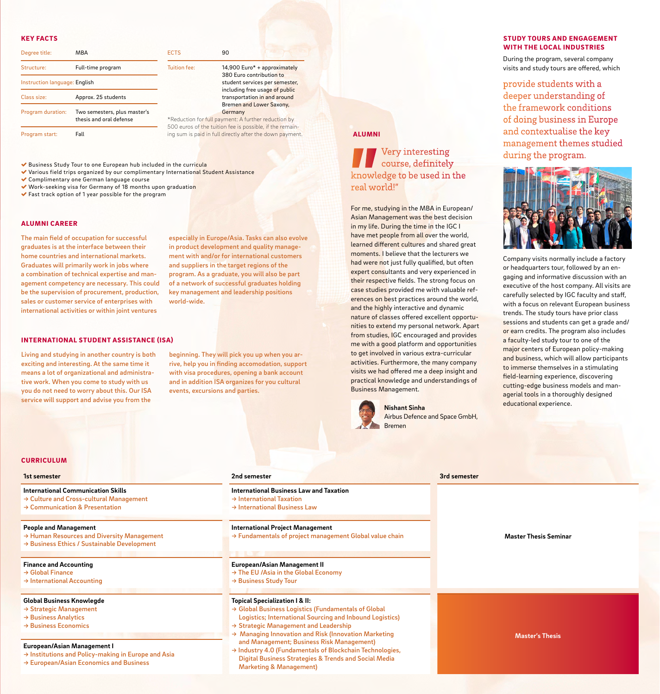#### KEY FACTS

| Degree title:                 | <b>MBA</b>                                              | <b>ECTS</b>                                                                                    | 90          |
|-------------------------------|---------------------------------------------------------|------------------------------------------------------------------------------------------------|-------------|
| Structure:                    | Full-time program                                       | <b>Tuition fee:</b>                                                                            | 14,<br>38   |
| Instruction language: English |                                                         |                                                                                                | stu<br>incl |
| Class size:                   | Approx. 25 students                                     |                                                                                                | tra<br>Bre  |
| Program duration:             | Two semesters, plus master's<br>thesis and oral defense | Ger<br>*Reduction for full payme<br>500 euros of the tuition f<br>ing sum is paid in full dire |             |
| Program start:                | Fall                                                    |                                                                                                |             |

on fee: 14,900 Euro<sup>\*</sup> + approximately 380 Euro contribution to student services per semester, including free usage of public transportation in and around Bremen and Lower Saxony, Germany uction for full payment: A further reduction by

euros of the tuition fee is possible, if the remainum is paid in full directly after the down payment.

Business Study Tour to one European hub included in the curricula

- Various field trips organized by our complimentary International Student Assistance
- Complimentary one German language course
- Work-seeking visa for Germany of 18 months upon graduation
- Fast track option of 1 year possible for the program

#### ALUMNI CAREER

The main field of occupation for successful graduates is at the interface between their home countries and international markets. Graduates will primarily work in jobs where a combination of technical expertise and management competency are necessary. This could be the supervision of procurement, production, sales or customer service of enterprises with international activities or within joint ventures

especially in Europe/Asia. Tasks can also evolve in product development and quality management with and/or for international customers and suppliers in the target regions of the program. As a graduate, you will also be part of a network of successful graduates holding key management and leadership positions world-wide.

#### INTERNATIONAL STUDENT ASSISTANCE (ISA)

Living and studying in another country is both exciting and interesting. At the same time it means a lot of organizational and administrative work. When you come to study with us you do not need to worry about this. Our ISA service will support and advise you from the

beginning. They will pick you up when you arrive, help you in finding accomodation, support with visa procedures, opening a bank account and in addition ISA organizes for you cultural events, excursions and parties.

#### **CURRICULUM**

#### **1st semester**

**International Communication Skills** → Culture and Cross-cultural Management → Communication & Presentation

### **People and Management**

- → Human Resources and Diversity Management
- → Business Ethics / Sustainable Development

#### **Finance and Accounting**

- → Global Finance
- → International Accounting

#### **Global Business Knowlegde**

- → Strategic Management
- → Business Analytics
- → Business Economics

#### **European/Asian Management I**

- → Institutions and Policy-making in Europe and Asia
- → European/Asian Economics and Business

#### **2nd semester**

- **International Business Law and Taxation** → International Taxation → International Business Law
- 

#### **International Project Management**

→ Fundamentals of project management Global value chain

#### **European/Asian Management II**

- → The EU /Asia in the Global Economy
- → Business Study Tour

#### **Topical Specialization I & II:**

- → Global Business Logistics (Fundamentals of Global Logistics; International Sourcing and Inbound Logistics)
- → Strategic Management and Leadership
- → Managing Innovation and Risk (Innovation Marketing and Management; Business Risk Management)
- → Industry 4.0 (Fundamentals of Blockchain Technologies, Digital Business Strategies & Trends and Social Media Marketing & Management)

#### STUDY TOURS AND ENGAGEMENT WITH THE LOCAL INDUSTRIES

During the program, several company visits and study tours are offered, which

provide students with a deeper understanding of the framework conditions of doing business in Europe and contextualise the key management themes studied during the program.



For me, studying in the MBA in European/ Asian Management was the best decision in my life. During the time in the IGC I have met people from all over the world, learned different cultures and shared great moments. I believe that the lecturers we had were not just fully qualified, but often expert consultants and very experienced in their respective fields. The strong focus on case studies provided me with valuable references on best practices around the world, and the highly interactive and dynamic nature of classes offered excellent opportunities to extend my personal network. Apart from studies, IGC encouraged and provides me with a good platform and opportunities to get involved in various extra-curricular activities. Furthermore, the many company visits we had offered me a deep insight and practical knowledge and understandings of

real world!"

ALUMNI

Very interesting course, definitely knowledge to be used in the

Business Management.

**Nishant Sinha**

Bremen

Airbus Defence and Space GmbH,

**3rd semester**

Company visits normally include a factory or headquarters tour, followed by an engaging and informative discussion with an executive of the host company. All visits are carefully selected by IGC faculty and staff, with a focus on relevant European business trends. The study tours have prior class sessions and students can get a grade and/ or earn credits. The program also includes a faculty-led study tour to one of the major centers of European policy-making and business, which will allow participants to immerse themselves in a stimulating field-learning experience, discovering cutting-edge business models and managerial tools in a thoroughly designed educational experience.

#### **Master Thesis Seminar**

**Master's Thesis**